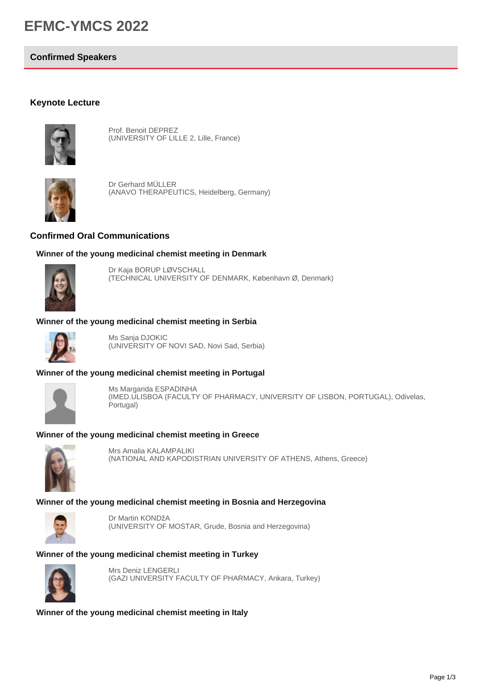# **EFMC-YMCS 2022**

### **Confirmed Speakers**

## **Keynote Lecture**



Prof. Benoit DEPREZ (UNIVERSITY OF LILLE 2, Lille, France)



Dr Gerhard MÜLLER (ANAVO THERAPEUTICS, Heidelberg, Germany)

## **Confirmed Oral Communications**

#### **Winner of the young medicinal chemist meeting in Denmark**



Dr Kaja BORUP LØVSCHALL (TECHNICAL UNIVERSITY OF DENMARK, København Ø, Denmark)

# **Winner of the young medicinal chemist meeting in Serbia**



Ms Sanja DJOKIC (UNIVERSITY OF NOVI SAD, Novi Sad, Serbia)

### **Winner of the young medicinal chemist meeting in Portugal**



Ms Margarida ESPADINHA (IMED.ULISBOA (FACULTY OF PHARMACY, UNIVERSITY OF LISBON, PORTUGAL), Odivelas, Portugal)

#### **Winner of the young medicinal chemist meeting in Greece**



Mrs Amalia KALAMPALIKI (NATIONAL AND KAPODISTRIAN UNIVERSITY OF ATHENS, Athens, Greece)

### **Winner of the young medicinal chemist meeting in Bosnia and Herzegovina**



Dr Martin KONDžA (UNIVERSITY OF MOSTAR, Grude, Bosnia and Herzegovina)

#### **Winner of the young medicinal chemist meeting in Turkey**



Mrs Deniz LENGERLI (GAZI UNIVERSITY FACULTY OF PHARMACY, Ankara, Turkey)

**Winner of the young medicinal chemist meeting in Italy**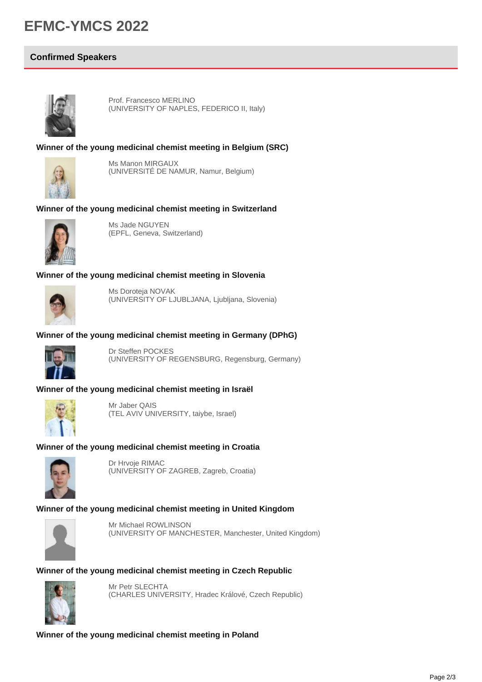# **EFMC-YMCS 2022**

# **Confirmed Speakers**



Prof. Francesco MERLINO (UNIVERSITY OF NAPLES, FEDERICO II, Italy)

#### **Winner of the young medicinal chemist meeting in Belgium (SRC)**



Ms Manon MIRGAUX (UNIVERSITÉ DE NAMUR, Namur, Belgium)

#### **Winner of the young medicinal chemist meeting in Switzerland**



Ms Jade NGUYEN (EPFL, Geneva, Switzerland)

#### **Winner of the young medicinal chemist meeting in Slovenia**



Ms Doroteja NOVAK (UNIVERSITY OF LJUBLJANA, Ljubljana, Slovenia)

## **Winner of the young medicinal chemist meeting in Germany (DPhG)**



Dr Steffen POCKES (UNIVERSITY OF REGENSBURG, Regensburg, Germany)

#### **Winner of the young medicinal chemist meeting in Israël**



Mr Jaber QAIS (TEL AVIV UNIVERSITY, taiybe, Israel)

### **Winner of the young medicinal chemist meeting in Croatia**



Dr Hrvoje RIMAC (UNIVERSITY OF ZAGREB, Zagreb, Croatia)

### **Winner of the young medicinal chemist meeting in United Kingdom**



Mr Michael ROWLINSON (UNIVERSITY OF MANCHESTER, Manchester, United Kingdom)

#### **Winner of the young medicinal chemist meeting in Czech Republic**



Mr Petr SLECHTA (CHARLES UNIVERSITY, Hradec Králové, Czech Republic)

**Winner of the young medicinal chemist meeting in Poland**